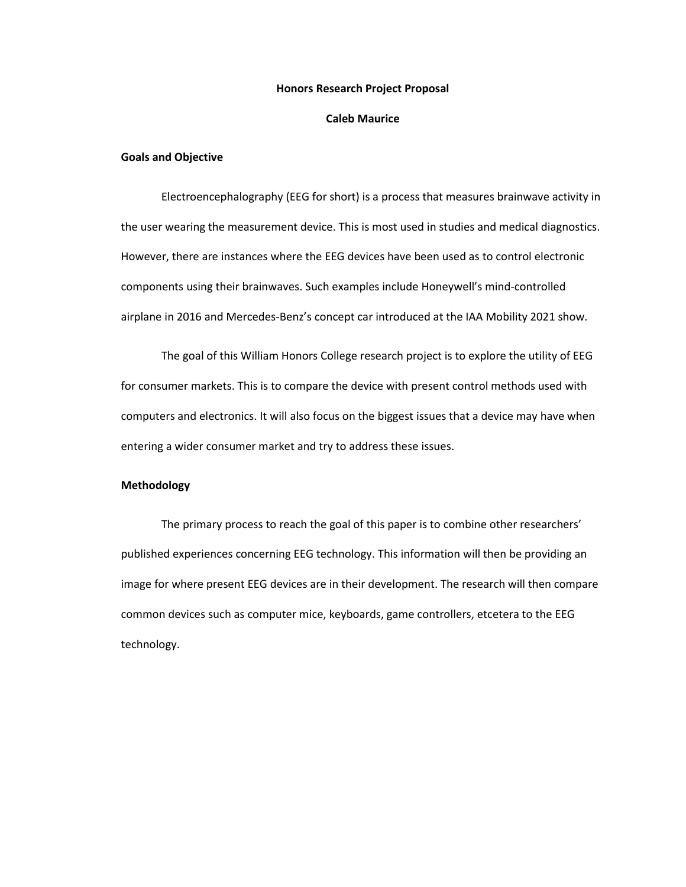#### **Honors Research Project Proposal**

#### **Caleb Maurice**

### **Goals and Objective**

Electroencephalography (EEG for short) is a process that measures brainwave activity in the user wearing the measurement device. This is most used in studies and medical diagnostics. However, there are instances where the EEG devices have been used as to control electronic components using their brainwaves. Such examples include Honeywell's mind-controlled airplane in 2016 and Mercedes-Benz's concept car introduced at the IAA Mobility 2021 show.

The goal of this William Honors College research project is to explore the utility of EEG for consumer markets. This is to compare the device with present control methods used with computers and electronics. It will also focus on the biggest issues that a device may have when entering a wider consumer market and try to address these issues.

#### **Methodology**

The primary process to reach the goal of this paper is to combine other researchers' published experiences concerning EEG technology. This information will then be providing an image for where present EEG devices are in their development. The research will then compare common devices such as computer mice, keyboards, game controllers, etcetera to the EEG technology.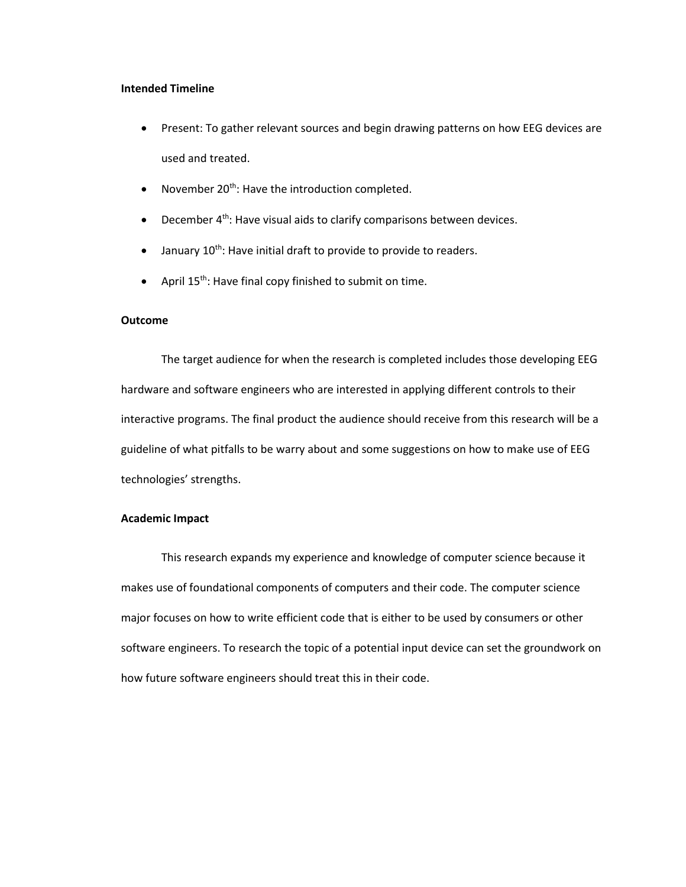#### **Intended Timeline**

- Present: To gather relevant sources and begin drawing patterns on how EEG devices are used and treated.
- November  $20^{th}$ : Have the introduction completed.
- December 4<sup>th</sup>: Have visual aids to clarify comparisons between devices.
- $\bullet$  January 10<sup>th</sup>: Have initial draft to provide to provide to readers.
- April  $15^{th}$ : Have final copy finished to submit on time.

## **Outcome**

The target audience for when the research is completed includes those developing EEG hardware and software engineers who are interested in applying different controls to their interactive programs. The final product the audience should receive from this research will be a guideline of what pitfalls to be warry about and some suggestions on how to make use of EEG technologies' strengths.

## **Academic Impact**

This research expands my experience and knowledge of computer science because it makes use of foundational components of computers and their code. The computer science major focuses on how to write efficient code that is either to be used by consumers or other software engineers. To research the topic of a potential input device can set the groundwork on how future software engineers should treat this in their code.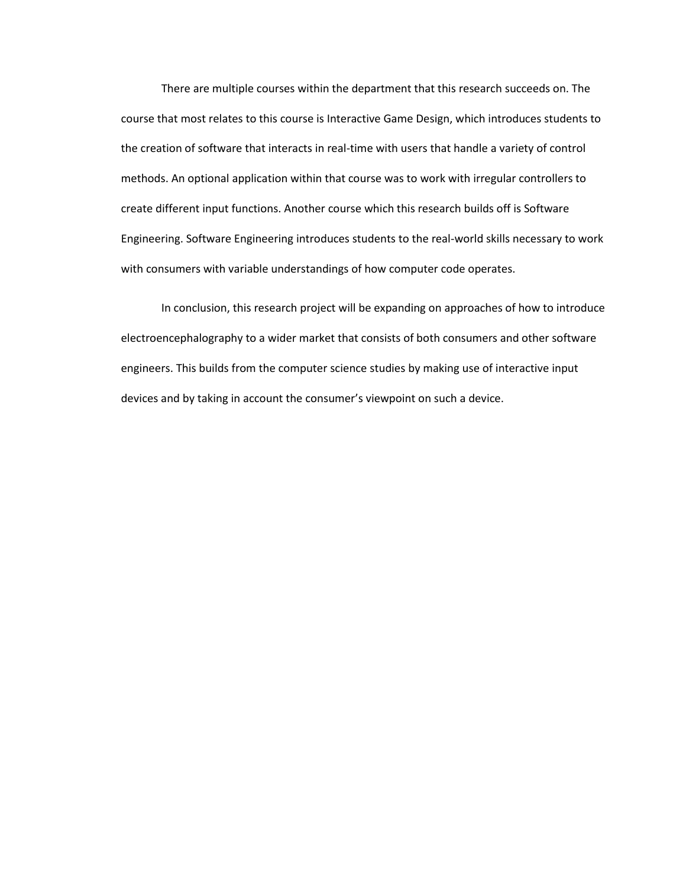There are multiple courses within the department that this research succeeds on. The course that most relates to this course is Interactive Game Design, which introduces students to the creation of software that interacts in real-time with users that handle a variety of control methods. An optional application within that course was to work with irregular controllers to create different input functions. Another course which this research builds off is Software Engineering. Software Engineering introduces students to the real-world skills necessary to work with consumers with variable understandings of how computer code operates.

In conclusion, this research project will be expanding on approaches of how to introduce electroencephalography to a wider market that consists of both consumers and other software engineers. This builds from the computer science studies by making use of interactive input devices and by taking in account the consumer's viewpoint on such a device.